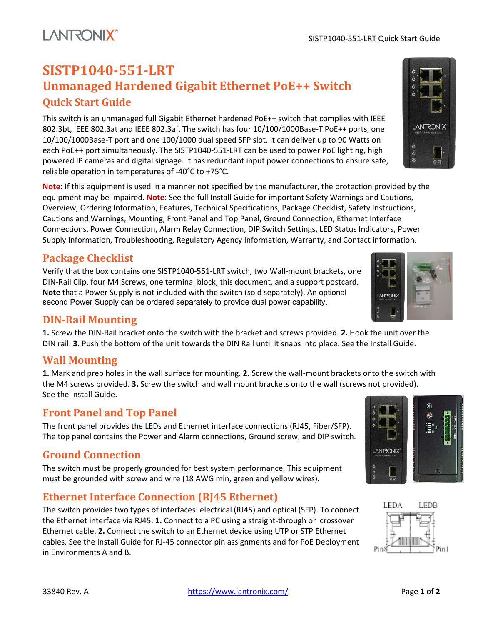# **SISTP1040-551-LRT Unmanaged Hardened Gigabit Ethernet PoE++ Switch Quick Start Guide**

This switch is an unmanaged full Gigabit Ethernet hardened PoE++ switch that complies with IEEE 802.3bt, IEEE 802.3at and IEEE 802.3af. The switch has four 10/100/1000Base-T PoE++ ports, one 10/100/1000Base-T port and one 100/1000 dual speed SFP slot. It can deliver up to 90 Watts on each PoE++ port simultaneously. The SISTP1040-551-LRT can be used to power PoE lighting, high powered IP cameras and digital signage. It has redundant input power connections to ensure safe, reliable operation in temperatures of -40°C to +75°C.

**Note**: If this equipment is used in a manner not specified by the manufacturer, the protection provided by the equipment may be impaired. **Note**: See the full Install Guide for important Safety Warnings and Cautions, Overview, Ordering Information, Features, Technical Specifications, Package Checklist, Safety Instructions, Cautions and Warnings, Mounting, Front Panel and Top Panel, Ground Connection, Ethernet Interface Connections, Power Connection, Alarm Relay Connection, DIP Switch Settings, LED Status Indicators, Power Supply Information, Troubleshooting, Regulatory Agency Information, Warranty, and Contact information.

## **Package Checklist**

**LANTRONIX®** 

Verify that the box contains one SISTP1040-551-LRT switch, two Wall-mount brackets, one DIN-Rail Clip, four M4 Screws, one terminal block, this document, and a support postcard. **Note** that a Power Supply is not included with the switch (sold separately). An optional second Power Supply can be ordered separately to provide dual power capability.

## **DIN-Rail Mounting**

**1.** Screw the DIN-Rail bracket onto the switch with the bracket and screws provided. **2.** Hook the unit over the DIN rail. **3.** Push the bottom of the unit towards the DIN Rail until it snaps into place. See the Install Guide.

## **Wall Mounting**

**1.** Mark and prep holes in the wall surface for mounting. **2.** Screw the wall-mount brackets onto the switch with the M4 screws provided. **3.** Screw the switch and wall mount brackets onto the wall (screws not provided). See the Install Guide.

## **Front Panel and Top Panel**

The front panel provides the LEDs and Ethernet interface connections (RJ45, Fiber/SFP). The top panel contains the Power and Alarm connections, Ground screw, and DIP switch.

# **Ground Connection**

The switch must be properly grounded for best system performance. This equipment must be grounded with screw and wire (18 AWG min, green and yellow wires).

# **Ethernet Interface Connection (RJ45 Ethernet)**

The switch provides two types of interfaces: electrical (RJ45) and optical (SFP). To connect the Ethernet interface via RJ45: **1.** Connect to a PC using a straight-through or crossover Ethernet cable. **2.** Connect the switch to an Ethernet device using UTP or STP Ethernet cables. See the Install Guide for RJ-45 connector pin assignments and for PoE Deployment in Environments A and B.